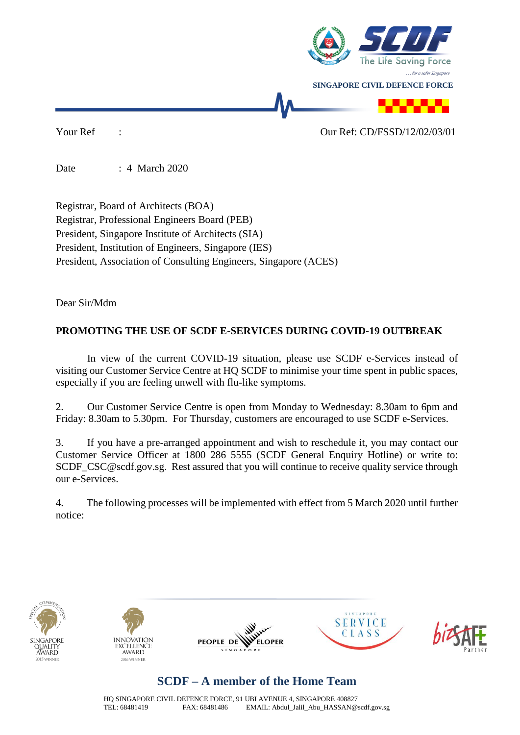

Your Ref :  $\frac{1}{2}$  :

Date : 4 March 2020

Registrar, Board of Architects (BOA) Registrar, Professional Engineers Board (PEB) President, Singapore Institute of Architects (SIA) President, Institution of Engineers, Singapore (IES) President, Association of Consulting Engineers, Singapore (ACES)

Dear Sir/Mdm

#### **PROMOTING THE USE OF SCDF E-SERVICES DURING COVID-19 OUTBREAK**

In view of the current COVID-19 situation, please use SCDF e-Services instead of visiting our Customer Service Centre at HQ SCDF to minimise your time spent in public spaces, especially if you are feeling unwell with flu-like symptoms.

2. Our Customer Service Centre is open from Monday to Wednesday: 8.30am to 6pm and Friday: 8.30am to 5.30pm. For Thursday, customers are encouraged to use SCDF e-Services.

3. If you have a pre-arranged appointment and wish to reschedule it, you may contact our Customer Service Officer at 1800 286 5555 (SCDF General Enquiry Hotline) or write to: SCDF CSC@scdf.gov.sg. Rest assured that you will continue to receive quality service through our e-Services.

4. The following processes will be implemented with effect from 5 March 2020 until further notice:









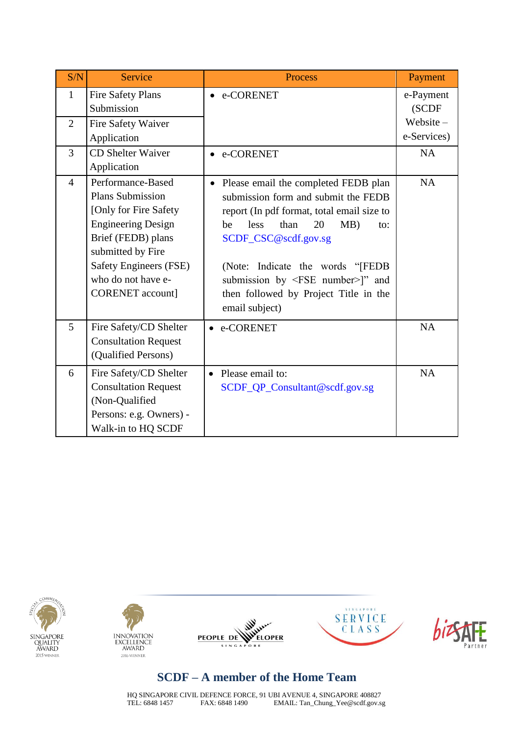| S/N                            | Service                                                                                                                                                                                                                  | <b>Process</b>                                                                                                                                                                                                                                                                                                                                                | Payment                        |
|--------------------------------|--------------------------------------------------------------------------------------------------------------------------------------------------------------------------------------------------------------------------|---------------------------------------------------------------------------------------------------------------------------------------------------------------------------------------------------------------------------------------------------------------------------------------------------------------------------------------------------------------|--------------------------------|
| $\mathbf{1}$<br>$\overline{2}$ | <b>Fire Safety Plans</b><br>Submission<br>Fire Safety Waiver                                                                                                                                                             | e-CORENET                                                                                                                                                                                                                                                                                                                                                     | e-Payment<br>(SCDF<br>Website- |
|                                | Application                                                                                                                                                                                                              |                                                                                                                                                                                                                                                                                                                                                               | e-Services)                    |
| 3                              | <b>CD</b> Shelter Waiver<br>Application                                                                                                                                                                                  | e-CORENET                                                                                                                                                                                                                                                                                                                                                     | NA                             |
| $\overline{4}$                 | Performance-Based<br><b>Plans Submission</b><br>[Only for Fire Safety<br><b>Engineering Design</b><br>Brief (FEDB) plans<br>submitted by Fire<br>Safety Engineers (FSE)<br>who do not have e-<br><b>CORENET</b> account] | Please email the completed FEDB plan<br>$\bullet$<br>submission form and submit the FEDB<br>report (In pdf format, total email size to<br>than<br>MB)<br>less<br>20<br>be<br>$\alpha$ :<br>SCDF_CSC@scdf.gov.sg<br>(Note: Indicate the words "[FEDB<br>submission by <fse number="">]" and<br/>then followed by Project Title in the<br/>email subject)</fse> | <b>NA</b>                      |
| 5                              | Fire Safety/CD Shelter<br><b>Consultation Request</b><br>(Qualified Persons)                                                                                                                                             | e-CORENET<br>$\bullet$                                                                                                                                                                                                                                                                                                                                        | <b>NA</b>                      |
| 6                              | Fire Safety/CD Shelter<br><b>Consultation Request</b><br>(Non-Qualified<br>Persons: e.g. Owners) -<br>Walk-in to HQ SCDF                                                                                                 | Please email to:<br>$\bullet$<br>SCDF_QP_Consultant@scdf.gov.sg                                                                                                                                                                                                                                                                                               | <b>NA</b>                      |









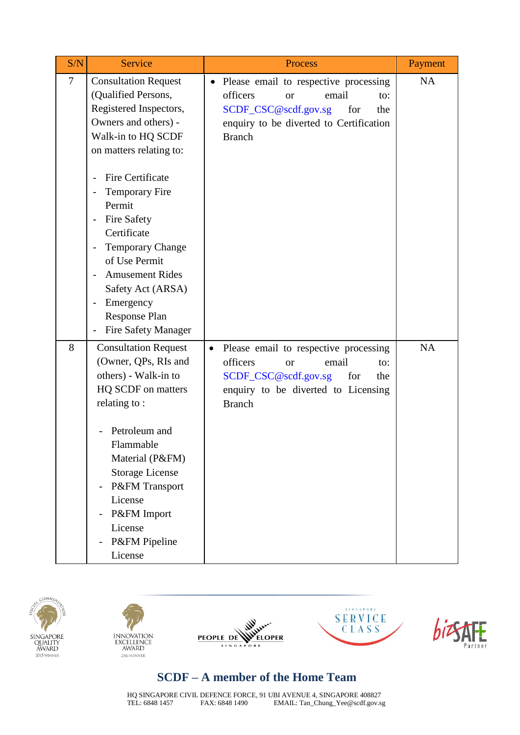| S/N    | Service                                                                                                                                                                                                                                                                                                                                                                                                                                                                                                                                    | Process                                                                                                                                                                                       | Payment   |
|--------|--------------------------------------------------------------------------------------------------------------------------------------------------------------------------------------------------------------------------------------------------------------------------------------------------------------------------------------------------------------------------------------------------------------------------------------------------------------------------------------------------------------------------------------------|-----------------------------------------------------------------------------------------------------------------------------------------------------------------------------------------------|-----------|
| $\tau$ | <b>Consultation Request</b><br>(Qualified Persons,<br>Registered Inspectors,<br>Owners and others) -<br>Walk-in to HQ SCDF<br>on matters relating to:<br>Fire Certificate<br>$\overline{\phantom{0}}$<br><b>Temporary Fire</b><br>$\overline{\phantom{0}}$<br>Permit<br><b>Fire Safety</b><br>$\overline{\phantom{m}}$<br>Certificate<br><b>Temporary Change</b><br>$\overline{\phantom{0}}$<br>of Use Permit<br><b>Amusement Rides</b><br>Safety Act (ARSA)<br>Emergency<br>$\overline{a}$<br>Response Plan<br><b>Fire Safety Manager</b> | Please email to respective processing<br>$\bullet$<br>officers<br>email<br><b>or</b><br>to:<br>SCDF_CSC@scdf.gov.sg<br>for<br>the<br>enquiry to be diverted to Certification<br><b>Branch</b> | <b>NA</b> |
| 8      | <b>Consultation Request</b><br>(Owner, QPs, RIs and<br>others) - Walk-in to<br>HQ SCDF on matters<br>relating to:<br>Petroleum and<br>Flammable<br>Material (P&FM)<br><b>Storage License</b><br>P&FM Transport<br>$\overline{a}$<br>License<br>P&FM Import<br>License<br>P&FM Pipeline<br>License                                                                                                                                                                                                                                          | Please email to respective processing<br>$\bullet$<br>officers<br>email<br><b>or</b><br>to:<br>SCDF_CSC@scdf.gov.sg<br>for<br>the<br>enquiry to be diverted to Licensing<br><b>Branch</b>     | NA        |









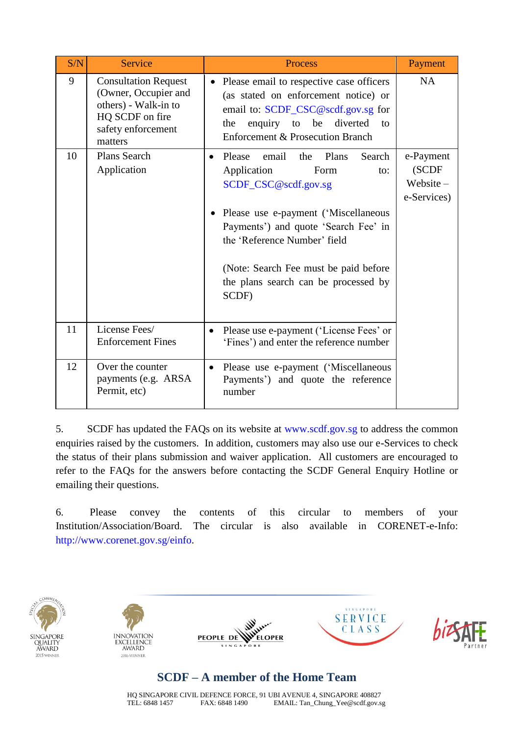| S/N | <b>Service</b>                                                                                                                  | <b>Process</b>                                                                                                                                                                                                                                                                                             | Payment                                       |
|-----|---------------------------------------------------------------------------------------------------------------------------------|------------------------------------------------------------------------------------------------------------------------------------------------------------------------------------------------------------------------------------------------------------------------------------------------------------|-----------------------------------------------|
| 9   | <b>Consultation Request</b><br>(Owner, Occupier and<br>others) - Walk-in to<br>HQ SCDF on fire<br>safety enforcement<br>matters | Please email to respective case officers<br>(as stated on enforcement notice) or<br>email to: SCDF_CSC@scdf.gov.sg for<br>enquiry to be diverted<br>the<br>to<br>Enforcement & Prosecution Branch                                                                                                          | <b>NA</b>                                     |
| 10  | <b>Plans Search</b><br>Application                                                                                              | Please<br>Plans<br>email<br>the<br>Search<br>Application<br>Form<br>to:<br>SCDF_CSC@scdf.gov.sg<br>Please use e-payment ('Miscellaneous<br>Payments') and quote 'Search Fee' in<br>the 'Reference Number' field<br>(Note: Search Fee must be paid before)<br>the plans search can be processed by<br>SCDF) | e-Payment<br>(SCDF<br>Website-<br>e-Services) |
| 11  | License Fees/<br><b>Enforcement Fines</b>                                                                                       | Please use e-payment ('License Fees' or<br>'Fines') and enter the reference number                                                                                                                                                                                                                         |                                               |
| 12  | Over the counter<br>payments (e.g. ARSA<br>Permit, etc)                                                                         | Please use e-payment ('Miscellaneous<br>$\bullet$<br>Payments') and quote the reference<br>number                                                                                                                                                                                                          |                                               |

5. SCDF has updated the FAQs on its website at [www.scdf.gov.sg](http://www.scdf.gov.sg/) to address the common enquiries raised by the customers. In addition, customers may also use our e-Services to check the status of their plans submission and waiver application. All customers are encouraged to refer to the FAQs for the answers before contacting the SCDF General Enquiry Hotline or emailing their questions.

6. Please convey the contents of this circular to members of your Institution/Association/Board. The circular is also available in CORENET-e-Info: [http://www.corenet.gov.sg/einfo.](http://www.corenet.gov.sg/einfo)









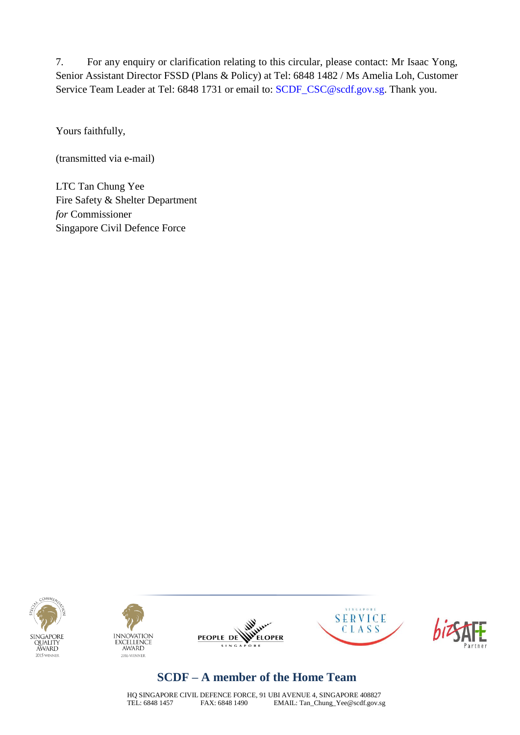7. For any enquiry or clarification relating to this circular, please contact: Mr Isaac Yong, Senior Assistant Director FSSD (Plans & Policy) at Tel: 6848 1482 / Ms Amelia Loh, Customer Service Team Leader at Tel: 6848 1731 or email to: [SCDF\\_CSC@scdf.gov.sg.](mailto:SCDF_CSC@scdf.gov.sg) Thank you.

Yours faithfully,

(transmitted via e-mail)

LTC Tan Chung Yee Fire Safety & Shelter Department *for* Commissioner Singapore Civil Defence Force











## **SCDF – A member of the Home Team**

HQ SINGAPORE CIVIL DEFENCE FORCE, 91 UBI AVENUE 4, SINGAPORE 408827<br>TEL: 6848 1457 FAX: 6848 1490 EMAIL: Tan\_Chung\_Yee@scdf.gov.s EMAIL: Tan\_Chung\_Yee@scdf.gov.sg